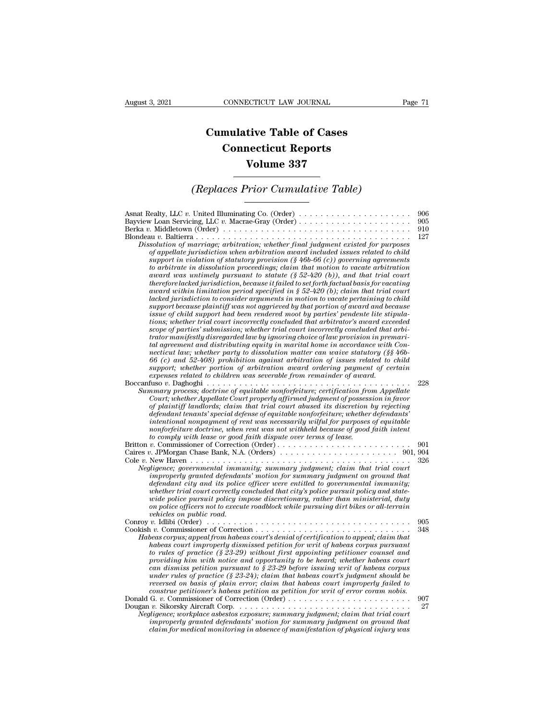## **CONNECTICUT LAW JOURNAL**<br> **Cumulative Table of Cases<br>
Connecticut Reports CONNECTICUT LAW JOURNAL**<br> **CONNECTICUT LAW JOURNAL**<br> **CONNECTICUT Reports<br>
Volume 337 ECTICUT LAW JOURNAL**<br> **Volume 337**<br> **Volume 337**<br> **Volume 337**<br> **Prior Cumulative Table)** *CONNECTICUT LAW JOURNAL* Page 71<br> **Cumulative Table of Cases<br>** *Connecticut Reports***<br>** *Volume 337***<br>** *(Replaces Prior Cumulative Table)*

| <b>Volume 337</b>                                                                                                                                                                                                                                                                                                                                                                                                                                                                                                                                                                                                                                                                                                                                                                                                                                                                                                                                                                                                                                                                                                                                                                                                                                                                                                                                                                                                                                                                                                                                                                                                                                                                                                                                                                                        |                          |  |
|----------------------------------------------------------------------------------------------------------------------------------------------------------------------------------------------------------------------------------------------------------------------------------------------------------------------------------------------------------------------------------------------------------------------------------------------------------------------------------------------------------------------------------------------------------------------------------------------------------------------------------------------------------------------------------------------------------------------------------------------------------------------------------------------------------------------------------------------------------------------------------------------------------------------------------------------------------------------------------------------------------------------------------------------------------------------------------------------------------------------------------------------------------------------------------------------------------------------------------------------------------------------------------------------------------------------------------------------------------------------------------------------------------------------------------------------------------------------------------------------------------------------------------------------------------------------------------------------------------------------------------------------------------------------------------------------------------------------------------------------------------------------------------------------------------|--------------------------|--|
| (Replaces Prior Cumulative Table)                                                                                                                                                                                                                                                                                                                                                                                                                                                                                                                                                                                                                                                                                                                                                                                                                                                                                                                                                                                                                                                                                                                                                                                                                                                                                                                                                                                                                                                                                                                                                                                                                                                                                                                                                                        |                          |  |
| Asnat Realty, LLC v. United Illuminating Co. (Order) $\dots \dots \dots \dots \dots \dots \dots \dots$<br>Berka v. Middletown (Order) $\ldots \ldots \ldots \ldots \ldots \ldots \ldots \ldots \ldots \ldots \ldots \ldots$<br>Dissolution of marriage; arbitration; whether final judgment existed for purposes<br>of appellate jurisdiction when arbitration award included issues related to child<br>support in violation of statutory provision $(\frac{1}{2}46b-66(c))$ governing agreements<br>to arbitrate in dissolution proceedings; claim that motion to vacate arbitration<br>award was untimely pursuant to statute $(\$ 52-420 (b))$ , and that trial court<br>therefore lacked jurisdiction, because it failed to set forth factual basis for vacating<br>award within limitation period specified in § 52-420 (b); claim that trial court<br>lacked jurisdiction to consider arguments in motion to vacate pertaining to child<br>support because plaintiff was not aggrieved by that portion of award and because<br>issue of child support had been rendered moot by parties' pendente lite stipula-<br>tions; whether trial court incorrectly concluded that arbitrator's award exceeded<br>scope of parties' submission; whether trial court incorrectly concluded that arbi-<br>trator manifestly disregarded law by ignoring choice of law provision in premari-<br>tal agreement and distributing equity in marital home in accordance with Con-<br>necticut law; whether party to dissolution matter can waive statutory $(\S \S 46b -$<br>$66(c)$ and $52-408$ ) prohibition against arbitration of issues related to child<br>support; whether portion of arbitration award ordering payment of certain<br>expenses related to children was severable from remainder of award. | 906<br>905<br>910<br>127 |  |
| Summary process; doctrine of equitable nonforfeiture; certification from Appellate<br>Court; whether Appellate Court properly affirmed judgment of possession in favor<br>of plaintiff landlords; claim that trial court abused its discretion by rejecting<br>defendant tenants' special defense of equitable nonforfeiture; whether defendants'<br>intentional nonpayment of rent was necessarily wilful for purposes of equitable<br>nonforfeiture doctrine, when rent was not withheld because of good faith intent<br>to comply with lease or good faith dispute over terms of lease.                                                                                                                                                                                                                                                                                                                                                                                                                                                                                                                                                                                                                                                                                                                                                                                                                                                                                                                                                                                                                                                                                                                                                                                                               | 228                      |  |
| Britton v. Commissioner of Correction (Order)<br>Negligence; governmental immunity; summary judgment; claim that trial court<br>improperly granted defendants' motion for summary judgment on ground that<br>defendant city and its police officer were entitled to governmental immunity;<br>whether trial court correctly concluded that city's police pursuit policy and state-<br>wide police pursuit policy impose discretionary, rather than ministerial, duty<br>on police officers not to execute roadblock while pursuing dirt bikes or all-terrain<br>vehicles on public road.                                                                                                                                                                                                                                                                                                                                                                                                                                                                                                                                                                                                                                                                                                                                                                                                                                                                                                                                                                                                                                                                                                                                                                                                                 | 901<br>326               |  |
| Habeas corpus; appeal from habeas court's denial of certification to appeal; claim that<br>habeas court improperly dismissed petition for writ of habeas corpus pursuant<br>to rules of practice $(\frac{8}{23-29})$ without first appointing petitioner counsel and<br>providing him with notice and opportunity to be heard; whether habeas court<br>can dismiss petition pursuant to $\S 23-29$ before issuing writ of habeas corpus<br>under rules of practice (§ 23-24); claim that habeas court's judgment should be<br>reversed on basis of plain error; claim that habeas court improperly failed to<br>construe petitioner's habeas petition as petition for writ of error coram nobis.                                                                                                                                                                                                                                                                                                                                                                                                                                                                                                                                                                                                                                                                                                                                                                                                                                                                                                                                                                                                                                                                                                         | 905<br>348               |  |
| Negligence; workplace asbestos exposure; summary judgment; claim that trial court<br>improperly granted defendants' motion for summary judgment on ground that<br>claim for medical monitoring in absence of manifestation of physical injury was                                                                                                                                                                                                                                                                                                                                                                                                                                                                                                                                                                                                                                                                                                                                                                                                                                                                                                                                                                                                                                                                                                                                                                                                                                                                                                                                                                                                                                                                                                                                                        | 907<br>27                |  |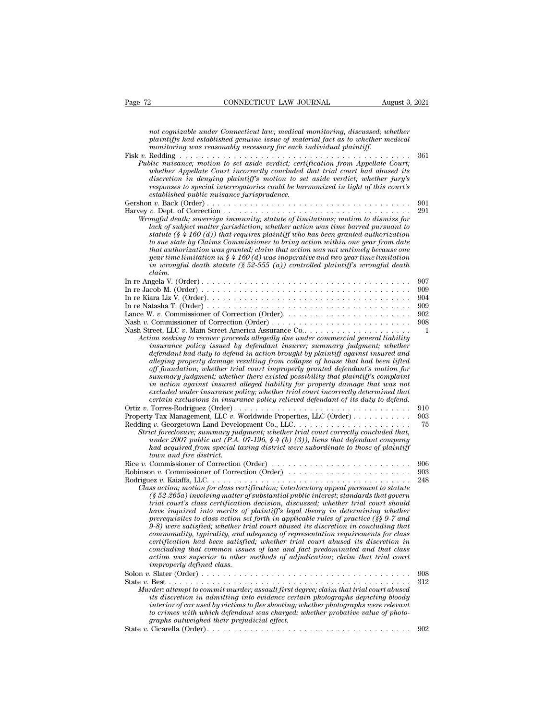*CONNECTICUT LAW JOURNAL*<br> *not cognizable under Connecticut law; medical monitoring, discussed; whether*<br> *plaintiffs had established genuine issue of material fact as to whether medical*<br> *monitoring was reasonably neces plaintiffs had established genuine issue of material fact as to whether plaintiffs had established genuine issue of material fact as to whether medical*<br>*plaintiffs had established genuine issue of material fact as to whe* Page 72 CONNECTICUT LAW JOURNAL August 3, 2021<br> *mot cognizable under Connecticut law; medical monitoring, discussed; whether*<br> *maintiffs had established genuine issue of material fact as to whether medical*<br> *monitoring* Fage 72 CONNECTICUT LAW JOURNAL August 3, 2021<br>
not cognizable under Connecticut law; medical monitoring, discussed; whether<br>
plaintiffs had established genuine issue of material fact as to whether medical<br>
monitoring was *Public nuisance; motion to set aside verdical monitoring, discussed, whether*<br>*Public nuisance; motion to set aside verdict; certification from Appellate Court;*<br>*Public nuisance; motion to set aside verdict; certificatio whether connecticut law; medical monitoring, discussed; whether* plaintiffs had established genuine issue of material fact as to whether medical monitoring was reasonably necessary for each individual plaintiff.<br> **Reddin** *discretion in deniantial denying medical monitoring, discussed; whether*<br>plaintiffs had established genuine issue of material fact as to whether medical<br>monitoring was reasonably necessary for each individual plaintiff.<br> *responses to special interrogatories could be harmonioring, assessed; whether medical plaintiffs had established genuine issue of material fact as to whether medical monitoring was reasonably mecassary for each individual established public nuisance jurisprudence.* Gershon *<sup>v</sup>*. Back (Order) . . . . . . . . . . . . . . . . . . . . . . . . . . . . . . . . . . . . . . <sup>901</sup> Harvey *v.* Dept. of Correction . . . . . . . . . . . . . . . . . . . . . . . . . . . . . . . . . . . <sup>291</sup> *Wrongful death; sovereign immunity; social death trial court had abused its discretion in denying plaintiff's motion to set aside verdict; whether jury's responses to special interrogatories could be harmonized in light o lack of subjecture court interreting conculated that trial court had doused its*<br>discretion in denying plaintiff's motion to set aside verdict; whether jury's<br>responses to special interrogatories could be harmonized in l *statute (§ 4-160 (d)) that requires could be harmonized in light of this court's*<br>*responses to special interrogatories could be harmonized in light of this court's*<br>*a v*. Back (Order) . . . . . . . . . . . . . . . . . *to sue state by Claims Commissioner to bring action within one year from date that authorization was granted; claim that action was time later of Corection was for*  $\log \theta$  and  $\theta$  and  $\theta$  corection was time barred pursuant to later of subject matter jurisdiction; whether action was time barred p *year time limitation in § 4-160 (d) was inoperative and two year time limitation in wrongful death statute (§ 52-555 (a)) controlled plaintiff's wrongful death claim.* Lack by stolect matter jurisdiction; whether action was time darred pursuant to<br>statute (§ 4-160 (d)) that requires plaintiff who has been granted authorization<br>to sue state by Claims Commissioner to bring action within o Sautue (y 4-100) and requires parallely and also been graphed union call to to all state by Claims Commissioner to bring action was not untimely because one that authorization was granted; claim that action was not untime In re Angela V. (Order).<br>
In re Angel values conditions and the state of the distribution in  $\S 4-160$  (d) was inoperative and two year time limitation<br>
in wrongful death statute (§ 52-555 (a)) controlled plaintiff's wron gear time limitation in  $\S 4-160$  (d) was inoperative and two year time limitation<br>in wrongful death statute (§ 52-555 (a)) controlled plaintiff's wrongful death<br>claim.<br>In re Angela V. (Order) . . . . . . . . . . . . . . Lance W. *v.* Commissioner of Correction (Order). . . . . . . . . . . . . . . . . . . . . . . . <sup>902</sup> Nash *<sup>v</sup>*. Commissioner of Correction (Order) . . . . . . . . . . . . . . . . . . . . . . . . . . <sup>908</sup> In re Angela V. (Order)<br>
In re Jacob M. (Order)<br>
In re Kiara Liz V. (Order)<br>
In re Kiara Liz V. (Order)<br>
In re Natasha T. (Order)<br>
Lance W. *v*. Commissioner of Correction (Order)<br>
Nash *v*. Commissioner of Correction (Ord *Action seeking to recover proceeds allegedly due under commercial liability* in the determinant and duties of the determinant and duties of the determinant and duties of the determinant and duties of the determinant and d *insurance policy issued by defendant insurer; summary judgment; insurance policy issued by defendant insurer; summary judgment; whether in seeking to recover proceeds allegedly due under commercial general liability insur defendant had duty to defend in action brought by plaintiff against insured and alleging property damage resulting from collapse of house that had been lifted of off foundation; whether trial court improperly and treet*, LLC *v*. Main Street American Assument improperly trial court improperly discussion seeking to recover proceeds allegedly due under commercial general liabil Let us may be the summary independent of the rest in the commercial general liability insurance policy issued by defendant insurer; summary judgment; whether defendant had duty to defend in action brought by plaintiff agai *in action against insured alleged liability for property damage that was not* read to recover proceeds allegedly due under commercial general tability<br>insurance policy issued by defendant insurer; summary judgment; whether<br>defendant had duty to defend in action brought by plaintiff against insured a *characterial that duty to defendant insurer; summary judgment; whether*<br>defendant had duty to defend in action brought by plaintiff against insured and<br>alleging property damage resulting from collapse of house that had be agemaant had dury to agent in action brought by plannty] against instrea and<br>alleging property damage resulting from collapse of house that had been lifted<br>off foundation; whether trial court improperly granted defendant's example resulting the state of the court improperty granted defendant's motion for<br>of foundation, whether trial court improperty granted defendant's motion for<br>summary judgment, whether there existed possibility that plain *Summary judgment; whether there existed possibility that plaintiff's complaint*<br>summary judgment; whether there existed possibility that plaintiff's complaint<br>in action against insurance policy; whether trial court incorr *Summary judgment, whether were existed possibility for property damage that was not*<br> *in action against insurance policy, whether trial court incorrectly determined that*<br> *certain exclusions in insurance policy relieved under insurance policy, whether trial court incorrectly determined that*<br>excluded under insurance policy, whether trial court incorrectly determined that<br>certain exclusions in insurance policy relieved defendant of its du *had acquired from special taxing district were subordinate to those of plaintiff town and firerally and firerally and firerally prace Rodriguez (Order)*<br> *z t*, Georgetown Land Develocit foreclosure; summary judent 2007 public act (P.A. had acquired from special to the main fire district. Commission Rice *v.* Commissioner of Correction (Order) . . . . . . . . . . . . . . . . . . . . . . . . . . <sup>906</sup> Robinson *<sup>v</sup>*. Commissioner of Correction (Order) . . . . . . . . . . . . . . . . . . . . . . . <sup>903</sup> Rodriguez *v.* Kaiam *Strict foreclosure*; summary judgment; whether trial court correctly concluded that,<br> *under 2007 public act* (*P.A. 07-196, § 4 (b) (3)), liens that defendant company*<br> *had acquired from special tax Class action for class action; interlocutory appeal pursuant of CPA. O7-196, § 4 (b) (3)), liens that defendant company had acquired from special taxing district were subordinate to those of plaintiff<br>town and fire distri (§ 52-265a) involving matter of substantial public interest; standards that govern trial court and fire district.*<br> *town and fire district.*<br>
Commissioner of Correction (Order)<br>
on v. Commissioner of Correction (Order)<br>
ez v. Kaiaffa, LLC.<br> *s.* Saction; motion for class certification; interlocutory ap *have interesting* in the interest of Commissioner of Correction (Order)<br>  $\ldots$   $\ldots$   $\ldots$   $\ldots$   $\ldots$   $\ldots$   $\ldots$   $\ldots$   $\ldots$   $\ldots$   $\ldots$   $\ldots$   $\ldots$   $\ldots$   $\ldots$   $\ldots$   $\ldots$   $\ldots$   $\ldots$   $\ldots$   $\ldots$   $\ldots$   $\ldots$   $\ldots$   $\ldots$ *prerequisites to correction (Order)*<br> *prerection for class action, interlocutory appeal pursuant to statute*<br> *psex x. Kaiaffa, LLC.*<br> *psex action, motion for class certification, interlocutory appeal pursuant to statut 9-8) were satisfied; whether trial court abused its discretion in concluding that commonality, typicality, and adequacy of representation references* action; interlocutory appeal pursuant to statute  $(8.52-265a)$  involving matter of substantial public interest; standards that govern trial court's class *certification, interiories are inferences of the satisfied;*  $\S$  and  $\S$  abused its discussed;  $\S$  abused its discretification decision, discussed; whether trial court's class certification decision, discussed; whether t  $(S$  52-265a) involving matter of substantial public interest; standards that govern<br>trial court's class certification decision, discussed; whether trial court should<br>have inquired into merits of plaintiff's legal theory i *action methods of plaintiff's legal theory in determining whether*<br>prerequisites to class action set forth in applicable rules of practice (§§ 9-7 and<br>9-8) were satisfied; whether trial court abused its discretion in conc *indeering and meeris of*<br>prerequisites to class action set<br> $9-8$  *yere satisfied, whether tri*<br>commonality, typicality, and a<br>certification had been satisfie<br>concluding that common issue<br>action was superior to other<br>impro Freequisities to class action *istimated to the set of product above the commonality, typicality, and adequacy of representation requirements for class certification had been satisfied; whether trial court abused its discr* some surespice, unease it at court abused its discretion in commonality, typicality, and dequacy of representation requirements for class<br>certification had been satisfied; whether trial court abused its discretion in<br>concl *Commitming, upperaing, and unequality of representation requirements for concluding that common issues of law and fact predominated and that class action was superior to other methods of adjudication; claim that trial cou ierty diation indivisory of simulation insues of law and fact predominated and that class*<br>caccion was superior to other methods of adjudication; claim that trial court<br>improperly defined class.<br>Slater (Order) ........... *ionizion was superior to other methods of adjudication; claim that trial court are inproperly defined class.*<br> *improperly defined class.*<br>  $\begin{array}{ll} 908 \\text{Best} \dots \\ \text{Slater} \text{ (Order)} \dots \\ \text{reler}, \text{atempt to commit murder; assault first degree; claim that trial court-based} \\ \text{dis direction in admitting into evidence certain photographs depicting bloody} \\ \text{inter$ *to crimes with which defendant was charged; whether probative value of photographs outweighed their prejudicial effect.* State *<sup>v</sup>*. Cicarella (Order). . . . . . . . . . . . . . . . . . . . . . . . . . . . . . . . . . . . . . <sup>902</sup>